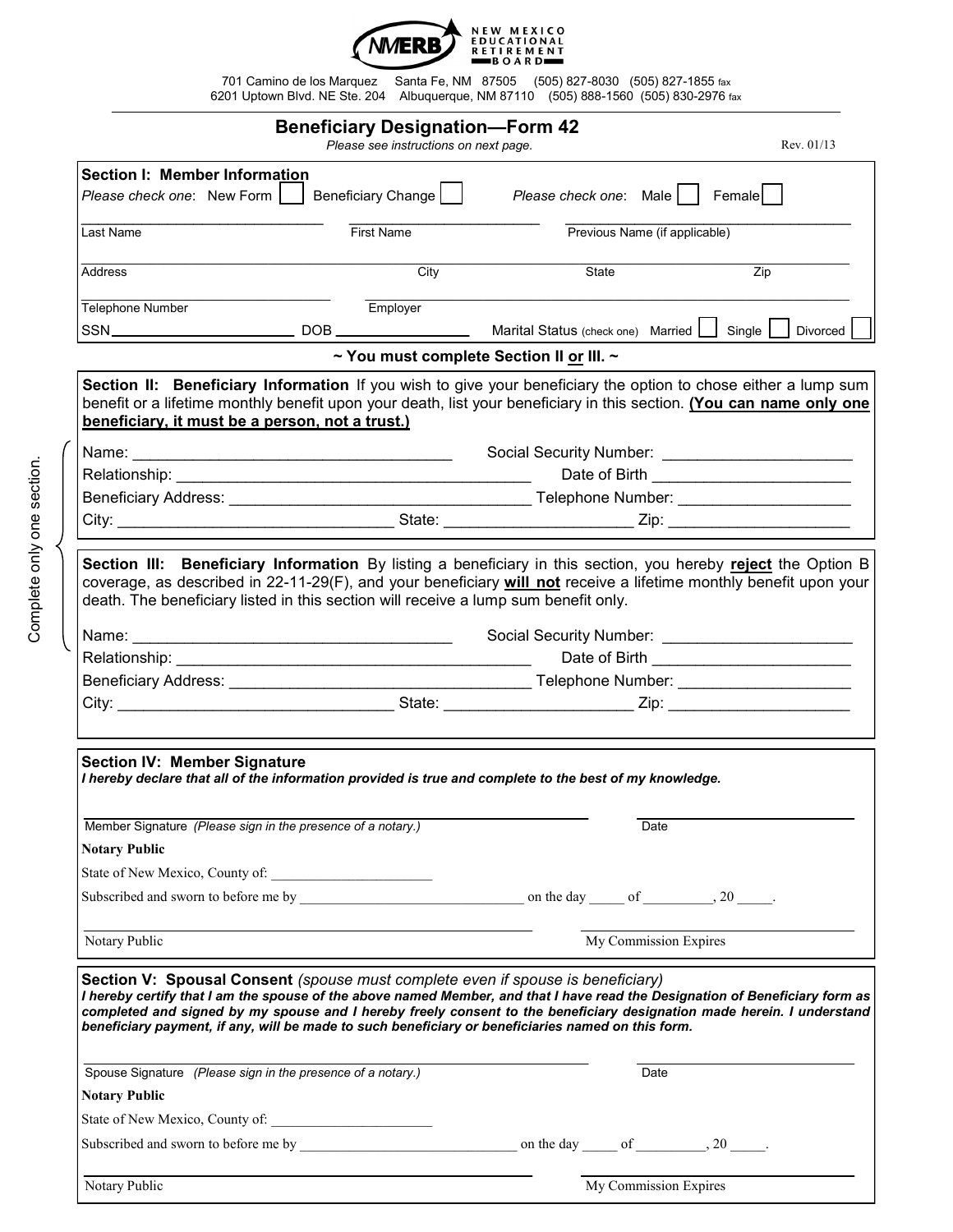

701 Camino de los Marquez Santa Fe, NM 87505 (505) 827-8030 (505) 827-1855 fax 6201 Uptown Blvd. NE Ste. 204 Albuquerque, NM 87110 (505) 888-1560 (505) 830-2976 fax

| <b>Beneficiary Designation-Form 42</b><br>Please see instructions on next page.<br>Rev. 01/13                                                                                                                                                                                                                                                                                                                                                   |                                          |  |                                             |                  |
|-------------------------------------------------------------------------------------------------------------------------------------------------------------------------------------------------------------------------------------------------------------------------------------------------------------------------------------------------------------------------------------------------------------------------------------------------|------------------------------------------|--|---------------------------------------------|------------------|
| Section I: Member Information                                                                                                                                                                                                                                                                                                                                                                                                                   |                                          |  |                                             |                  |
| Please check one: New Form     Beneficiary Change                                                                                                                                                                                                                                                                                                                                                                                               |                                          |  | Please check one: Male   Female             |                  |
| Last Name                                                                                                                                                                                                                                                                                                                                                                                                                                       | <b>First Name</b>                        |  | Previous Name (if applicable)               |                  |
| Address                                                                                                                                                                                                                                                                                                                                                                                                                                         | City                                     |  | State                                       | $\overline{Zip}$ |
| Telephone Number                                                                                                                                                                                                                                                                                                                                                                                                                                | Employer                                 |  |                                             |                  |
|                                                                                                                                                                                                                                                                                                                                                                                                                                                 |                                          |  | Marital Status (check one) Married   Single | Divorced         |
|                                                                                                                                                                                                                                                                                                                                                                                                                                                 | ~ You must complete Section II or III. ~ |  |                                             |                  |
| Section II: Beneficiary Information If you wish to give your beneficiary the option to chose either a lump sum<br>benefit or a lifetime monthly benefit upon your death, list your beneficiary in this section. (You can name only one<br>beneficiary, it must be a person, not a trust.)                                                                                                                                                       |                                          |  |                                             |                  |
|                                                                                                                                                                                                                                                                                                                                                                                                                                                 |                                          |  |                                             |                  |
|                                                                                                                                                                                                                                                                                                                                                                                                                                                 |                                          |  |                                             |                  |
|                                                                                                                                                                                                                                                                                                                                                                                                                                                 |                                          |  |                                             |                  |
|                                                                                                                                                                                                                                                                                                                                                                                                                                                 |                                          |  |                                             |                  |
| coverage, as described in 22-11-29(F), and your beneficiary will not receive a lifetime monthly benefit upon your<br>death. The beneficiary listed in this section will receive a lump sum benefit only.                                                                                                                                                                                                                                        |                                          |  |                                             |                  |
|                                                                                                                                                                                                                                                                                                                                                                                                                                                 |                                          |  |                                             |                  |
|                                                                                                                                                                                                                                                                                                                                                                                                                                                 |                                          |  |                                             |                  |
|                                                                                                                                                                                                                                                                                                                                                                                                                                                 |                                          |  |                                             |                  |
| <b>Section IV: Member Signature</b><br>I hereby declare that all of the information provided is true and complete to the best of my knowledge.                                                                                                                                                                                                                                                                                                  |                                          |  |                                             |                  |
| Member Signature (Please sign in the presence of a notary.)                                                                                                                                                                                                                                                                                                                                                                                     |                                          |  | Date                                        |                  |
| <b>Notary Public</b>                                                                                                                                                                                                                                                                                                                                                                                                                            |                                          |  |                                             |                  |
|                                                                                                                                                                                                                                                                                                                                                                                                                                                 |                                          |  |                                             |                  |
|                                                                                                                                                                                                                                                                                                                                                                                                                                                 |                                          |  |                                             |                  |
| Notary Public                                                                                                                                                                                                                                                                                                                                                                                                                                   |                                          |  | My Commission Expires                       |                  |
| Section V: Spousal Consent (spouse must complete even if spouse is beneficiary)<br>I hereby certify that I am the spouse of the above named Member, and that I have read the Designation of Beneficiary form as<br>completed and signed by my spouse and I hereby freely consent to the beneficiary designation made herein. I understand<br>beneficiary payment, if any, will be made to such beneficiary or beneficiaries named on this form. |                                          |  |                                             |                  |
| Spouse Signature (Please sign in the presence of a notary.)                                                                                                                                                                                                                                                                                                                                                                                     |                                          |  | Date                                        |                  |
| <b>Notary Public</b>                                                                                                                                                                                                                                                                                                                                                                                                                            |                                          |  |                                             |                  |
|                                                                                                                                                                                                                                                                                                                                                                                                                                                 |                                          |  |                                             |                  |
|                                                                                                                                                                                                                                                                                                                                                                                                                                                 |                                          |  |                                             |                  |
| Notary Public                                                                                                                                                                                                                                                                                                                                                                                                                                   |                                          |  | My Commission Expires                       |                  |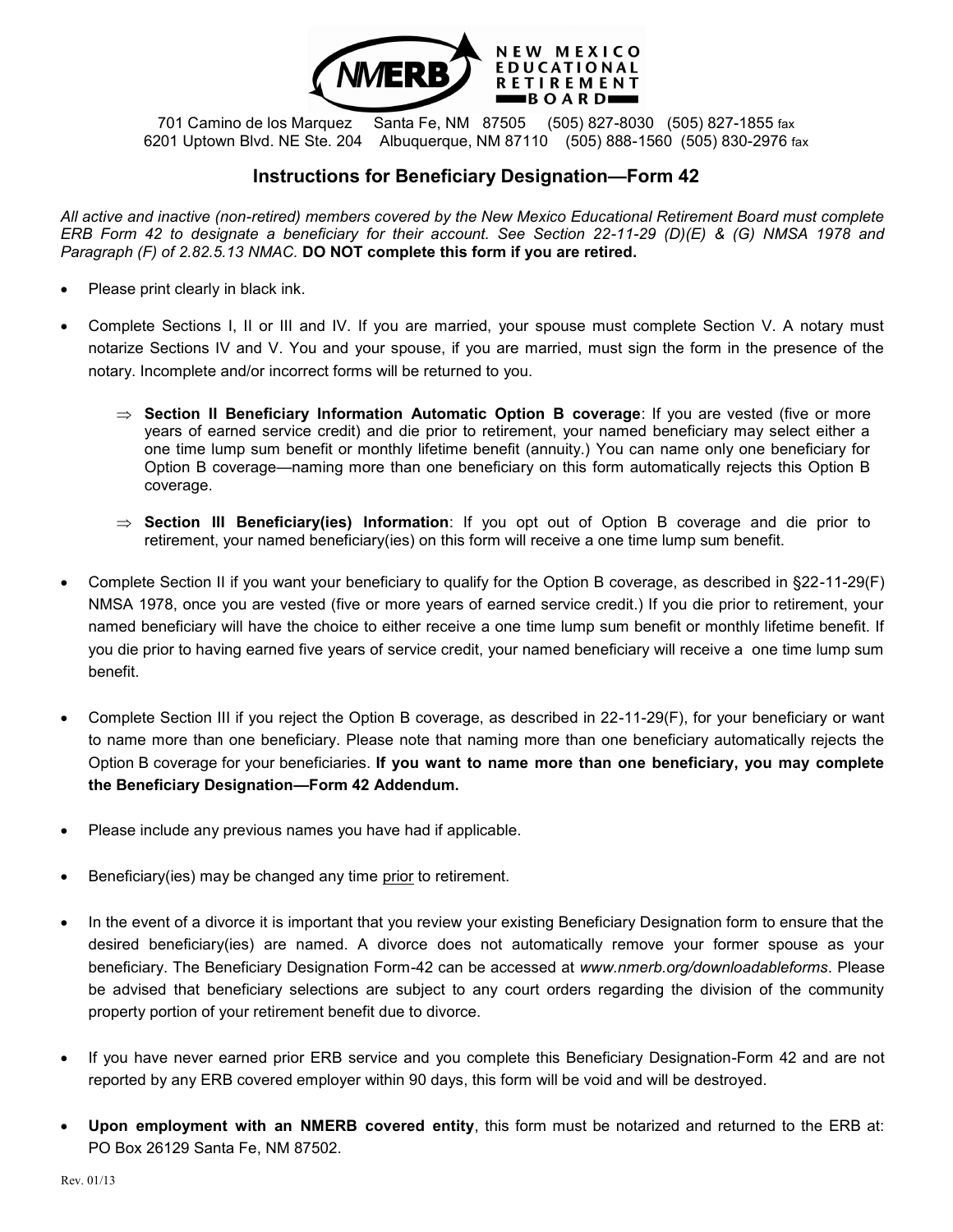

701 Camino de los Marquez Santa Fe, NM 87505 (505) 827-8030 (505) 827-1855 fax 6201 Uptown Blvd. NE Ste. 204 Albuquerque, NM 87110 (505) 888-1560 (505) 830-2976 fax

## **Instructions for Beneficiary Designation—Form 42**

*All active and inactive (non-retired) members covered by the New Mexico Educational Retirement Board must complete ERB Form 42 to designate a beneficiary for their account. See Section 22-11-29 (D)(E) & (G) NMSA 1978 and Paragraph (F) of 2.82.5.13 NMAC.* **DO NOT complete this form if you are retired.** 

- Please print clearly in black ink.
- Complete Sections I, II or III and IV. If you are married, your spouse must complete Section V. A notary must notarize Sections IV and V. You and your spouse, if you are married, must sign the form in the presence of the notary. Incomplete and/or incorrect forms will be returned to you.
	- $\Rightarrow$  **Section II Beneficiary Information Automatic Option B coverage:** If you are vested (five or more years of earned service credit) and die prior to retirement, your named beneficiary may select either a one time lump sum benefit or monthly lifetime benefit (annuity.) You can name only one beneficiary for Option B coverage—naming more than one beneficiary on this form automatically rejects this Option B coverage.
	- $\Rightarrow$  **Section III Beneficiary(ies) Information**: If you opt out of Option B coverage and die prior to retirement, your named beneficiary(ies) on this form will receive a one time lump sum benefit.
- Complete Section II if you want your beneficiary to qualify for the Option B coverage, as described in §22-11-29(F) NMSA 1978, once you are vested (five or more years of earned service credit.) If you die prior to retirement, your named beneficiary will have the choice to either receive a one time lump sum benefit or monthly lifetime benefit. If you die prior to having earned five years of service credit, your named beneficiary will receive a one time lump sum benefit.
- Complete Section III if you reject the Option B coverage, as described in 22-11-29(F), for your beneficiary or want to name more than one beneficiary. Please note that naming more than one beneficiary automatically rejects the Option B coverage for your beneficiaries. **If you want to name more than one beneficiary, you may complete the Beneficiary Designation—Form 42 Addendum.**
- Please include any previous names you have had if applicable.
- Beneficiary(ies) may be changed any time prior to retirement.
- In the event of a divorce it is important that you review your existing Beneficiary Designation form to ensure that the desired beneficiary(ies) are named. A divorce does not automatically remove your former spouse as your beneficiary. The Beneficiary Designation Form-42 can be accessed at *www.nmerb.org/downloadableforms*. Please be advised that beneficiary selections are subject to any court orders regarding the division of the community property portion of your retirement benefit due to divorce.
- If you have never earned prior ERB service and you complete this Beneficiary Designation-Form 42 and are not reported by any ERB covered employer within 90 days, this form will be void and will be destroyed.
- **Upon employment with an NMERB covered entity**, this form must be notarized and returned to the ERB at: PO Box 26129 Santa Fe, NM 87502.